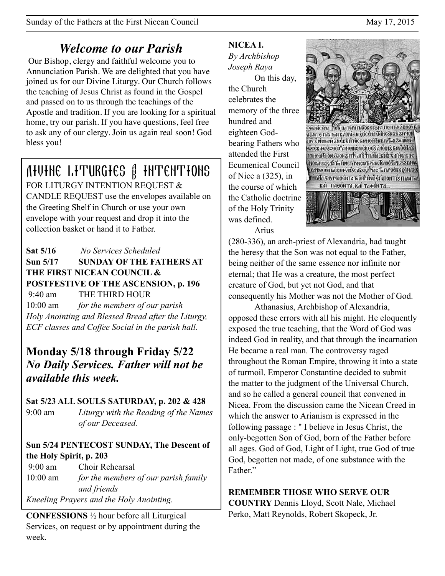# *Welcome to our Parish*

 Our Bishop, clergy and faithful welcome you to Annunciation Parish. We are delighted that you have joined us for our Divine Liturgy. Our Church follows the teaching of Jesus Christ as found in the Gospel and passed on to us through the teachings of the Apostle and tradition. If you are looking for a spiritual home, try our parish. If you have questions, feel free to ask any of our clergy. Join us again real soon! God bless you!

# Divine Liturgies & Intentions

FOR LITURGY INTENTION REQUEST & CANDLE REQUEST use the envelopes available on the Greeting Shelf in Church or use your own envelope with your request and drop it into the collection basket or hand it to Father.

**Sat 5/16** *No Services Scheduled*  **Sun 5/17 SUNDAY OF THE FATHERS AT THE FIRST NICEAN COUNCIL & POSTFESTIVE OF THE ASCENSION, p. 196**  9:40 am THE THIRD HOUR 10:00 am *for the members of our parish Holy Anointing and Blessed Bread after the Liturgy, ECF classes and Coffee Social in the parish hall.*

## **Monday 5/18 through Friday 5/22**  *No Daily Services. Father will not be available this week.*

**Sat 5/23 ALL SOULS SATURDAY, p. 202 & 428** 

9:00 am *Liturgy with the Reading of the Names of our Deceased.*

## **Sun 5/24 PENTECOST SUNDAY, The Descent of the Holy Spirit, p. 203**

 9:00 am Choir Rehearsal 10:00 am *for the members of our parish family and friends Kneeling Prayers and the Holy Anointing.*

**CONFESSIONS** ½ hour before all Liturgical Services, on request or by appointment during the week.

# **NICEA I.**

*By Archbishop Joseph Raya*

On this day, the Church celebrates the memory of the three hundred and eighteen Godbearing Fathers who attended the First Ecumenical Council of Nice a (325), in the course of which the Catholic doctrine of the Holy Trinity was defined.



Arius

(280-336), an arch-priest of Alexandria, had taught the heresy that the Son was not equal to the Father, being neither of the same essence nor infinite nor eternal; that He was a creature, the most perfect creature of God, but yet not God, and that consequently his Mother was not the Mother of God.

 Athanasius, Archbishop of Alexandria, opposed these errors with all his might. He eloquently exposed the true teaching, that the Word of God was indeed God in reality, and that through the incarnation He became a real man. The controversy raged throughout the Roman Empire, throwing it into a state of turmoil. Emperor Constantine decided to submit the matter to the judgment of the Universal Church, and so he called a general council that convened in Nicea. From the discussion came the Nicean Creed in which the answer to Arianism is expressed in the following passage : " I believe in Jesus Christ, the only-begotten Son of God, born of the Father before all ages. God of God, Light of Light, true God of true God, begotten not made, of one substance with the Father"

## **REMEMBER THOSE WHO SERVE OUR**

**COUNTRY** Dennis Lloyd, Scott Nale, Michael Perko, Matt Reynolds, Robert Skopeck, Jr.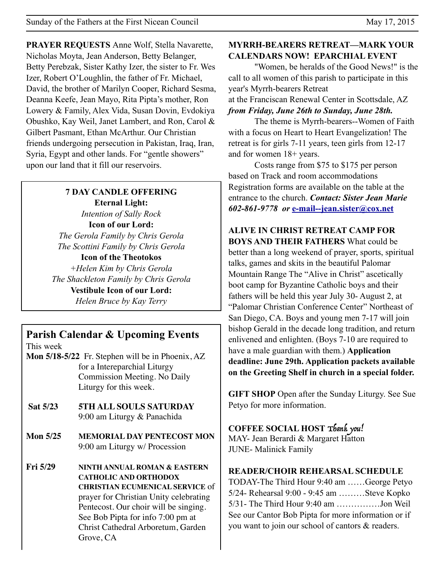**PRAYER REQUESTS** Anne Wolf, Stella Navarette, Nicholas Moyta, Jean Anderson, Betty Belanger, Betty Perebzak, Sister Kathy Izer, the sister to Fr. Wes Izer, Robert O'Loughlin, the father of Fr. Michael, David, the brother of Marilyn Cooper, Richard Sesma, Deanna Keefe, Jean Mayo, Rita Pipta's mother, Ron Lowery & Family, Alex Vida, Susan Dovin, Evdokiya Obushko, Kay Weil, Janet Lambert, and Ron, Carol & Gilbert Pasmant, Ethan McArthur. Our Christian friends undergoing persecution in Pakistan, Iraq, Iran, Syria, Egypt and other lands. For "gentle showers" upon our land that it fill our reservoirs.

## **7 DAY CANDLE OFFERING Eternal Light:**  *Intention of Sally Rock*  **Icon of our Lord:**  *The Gerola Family by Chris Gerola The Scottini Family by Chris Gerola*

**Icon of the Theotokos** *+Helen Kim by Chris Gerola The Shackleton Family by Chris Gerola*  **Vestibule Icon of our Lord:**  *Helen Bruce by Kay Terry*

# **Parish Calendar & Upcoming Events**

This week

- **Mon 5/18-5/22** Fr. Stephen will be in Phoenix, AZ for a Intereparchial Liturgy Commission Meeting. No Daily Liturgy for this week.
- **Sat 5/23 5TH ALL SOULS SATURDAY**  9:00 am Liturgy & Panachida
- **Mon 5/25 MEMORIAL DAY PENTECOST MON** 9:00 am Liturgy w/ Procession
- **Fri 5/29 NINTH ANNUAL ROMAN & EASTERN CATHOLIC AND ORTHODOX CHRISTIAN ECUMENICAL SERVICE** of prayer for Christian Unity celebrating Pentecost. Our choir will be singing. See Bob Pipta for info 7:00 pm at Christ Cathedral Arboretum, Garden Grove, CA

#### **MYRRH-BEARERS RETREAT—MARK YOUR CALENDARS NOW! EPARCHIAL EVENT**

 "Women, be heralds of the Good News!" is the call to all women of this parish to participate in this year's Myrrh-bearers Retreat at the Franciscan Renewal Center in Scottsdale, AZ *from Friday, June 26th to Sunday, June 28th.*

 The theme is Myrrh-bearers--Women of Faith with a focus on Heart to Heart Evangelization! The retreat is for girls 7-11 years, teen girls from 12-17 and for women 18+ years.

 Costs range from \$75 to \$175 per person based on Track and room accommodations Registration forms are available on the table at the entrance to the church. *Contact: Sister Jean Marie 602-861-9778 or* **[e-mail--jean.sister@cox.net](mailto:e-mail--jean.sister@cox.net)**

**ALIVE IN CHRIST RETREAT CAMP FOR BOYS AND THEIR FATHERS** What could be better than a long weekend of prayer, sports, spiritual talks, games and skits in the beautiful Palomar Mountain Range The "Alive in Christ" ascetically boot camp for Byzantine Catholic boys and their fathers will be held this year July 30- August 2, at "Palomar Christian Conference Center" Northeast of San Diego, CA. Boys and young men 7-17 will join bishop Gerald in the decade long tradition, and return enlivened and enlighten. (Boys 7-10 are required to have a male guardian with them.) **Application deadline: June 29th. Application packets available on the Greeting Shelf in church in a special folder.** 

**GIFT SHOP** Open after the Sunday Liturgy. See Sue Petyo for more information.

#### **COFFEE SOCIAL HOST** Thank you!

MAY- Jean Berardi & Margaret Hatton JUNE- Malinick Family

#### **READER/CHOIR REHEARSAL SCHEDULE**

TODAY-The Third Hour 9:40 am ……George Petyo 5/24- Rehearsal 9:00 - 9:45 am ………Steve Kopko 5/31- The Third Hour 9:40 am ……………Jon Weil See our Cantor Bob Pipta for more information or if you want to join our school of cantors & readers.